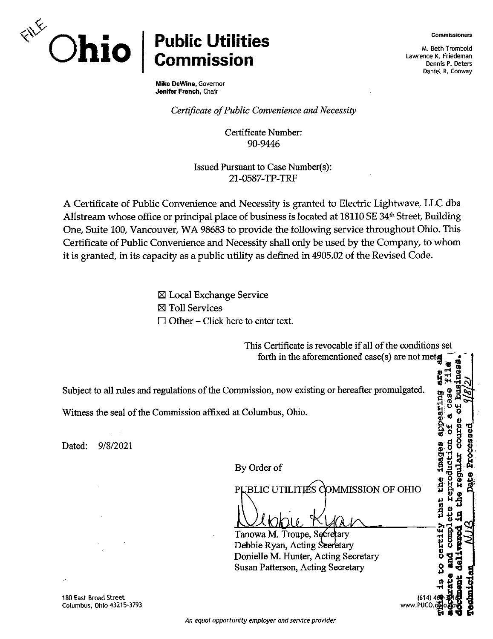

## **Ohio Public Utilities Commission**

Mike DeWine, Governor Jenifer French, Chair

*Certificate of Public Convenience and Necessity* 

Certificate Number: 90-9446

Issued Pursuant to Case Number(s): 21-0587-TP-TRF

A Certificate of Public Convenience and Necessity is granted to Electric Lightwave, LLC dba Allstream whose office or principal place of business is located at 18110 SE 34<sup>th</sup> Street, Building One, Suite 100, Vancouver, WA 98683 to provide the following service throughout Ohio. This Certificate of Public Convenience and Necessity shall only be used by the Company, to whom it is granted, in its capacity as a public utility as defined in 4905.02 of the Revised Code.

> ⊠ Local Exchange Service E Toll Services  $\Box$  Other – Click here to enter text.

This Certificate is revocable if all of the conditions set forth in the aforementioned case(s) are not metaphorements. ines ring are<br>Case fill Subject to all rules and regulations of the Commission, now existing or hereafter promulgated. **.6 <a** Witness the seal of the Commission affixed at Columbus, Ohio. Dated: 9/8/2021 that the image reproducti By Order of PUBLIC UTILITIES COMMISSION OF OHIO ete certify **COMO** Tanowa M. Troupe, S ary Debbie Ryan, Acting 'etary Donielle M. Hunter, Acting Secretary Susan Patterson, Acting Secretary (614) 4( www.PUCO.c  $\mathbf{F}^{\mathrm{u}}$ 

180 East Broad Street Columbus, Ohio 43215-3793 Commissioners

M. Beth Trombold Lawrence K. Friedeman Dennis P. Deters Daniel R. Conway